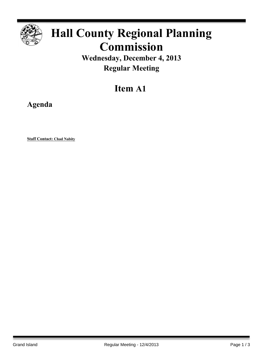

# **Hall County Regional Planning Commission**

**Wednesday, December 4, 2013 Regular Meeting**

## **Item A1**

**Agenda**

**Staff Contact: Chad Nabity**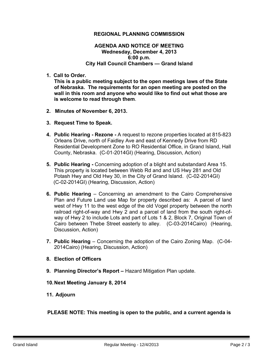### **REGIONAL PLANNING COMMISSION**

#### **AGENDA AND NOTICE OF MEETING Wednesday, December 4, 2013 6:00 p.m. City Hall Council Chambers — Grand Island**

**1. Call to Order.**

**This is a public meeting subject to the open meetings laws of the State of Nebraska. The requirements for an open meeting are posted on the wall in this room and anyone who would like to find out what those are is welcome to read through them**.

- **2. Minutes of November 6, 2013.**
- **3. Request Time to Speak.**
- **4. Public Hearing - Rezone -** A request to rezone properties located at 815-823 Orleans Drive, north of Faidley Ave and east of Kennedy Drive from RD Residential Development Zone to RO Residential Office, in Grand Island, Hall County, Nebraska. (C-01-2014GI) (Hearing, Discussion, Action)
- **5. Public Hearing -** Concerning adoption of a blight and substandard Area 15. This property is located between Webb Rd and and US Hwy 281 and Old Potash Hwy and Old Hwy 30, in the City of Grand Island. (C-02-2014GI) (C-02-2014GI) (Hearing, Discussion, Action)
- **6. Public Hearing** Concerning an amendment to the Cairo Comprehensive Plan and Future Land use Map for property described as:A parcel of land west of Hwy 11 to the west edge of the old Vogel property between the north railroad right-of-way and Hwy 2 and a parcel of land from the south right-ofway of Hwy 2 to include Lots and part of Lots 1 & 2, Block 7, Original Town of Cairo between Thebe Street easterly to alley. (C-03-2014Cairo) (Hearing, Discussion, Action)
- **7. Public Hearing** Concerning the adoption of the Cairo Zoning Map. (C-04- 2014Cairo) (Hearing, Discussion, Action)
- **8. Election of Officers**
- **9. Planning Director's Report –** Hazard Mitigation Plan update.
- **10.Next Meeting January 8, 2014**
- **11. Adjourn**

### **PLEASE NOTE: This meeting is open to the public, and a current agenda is**